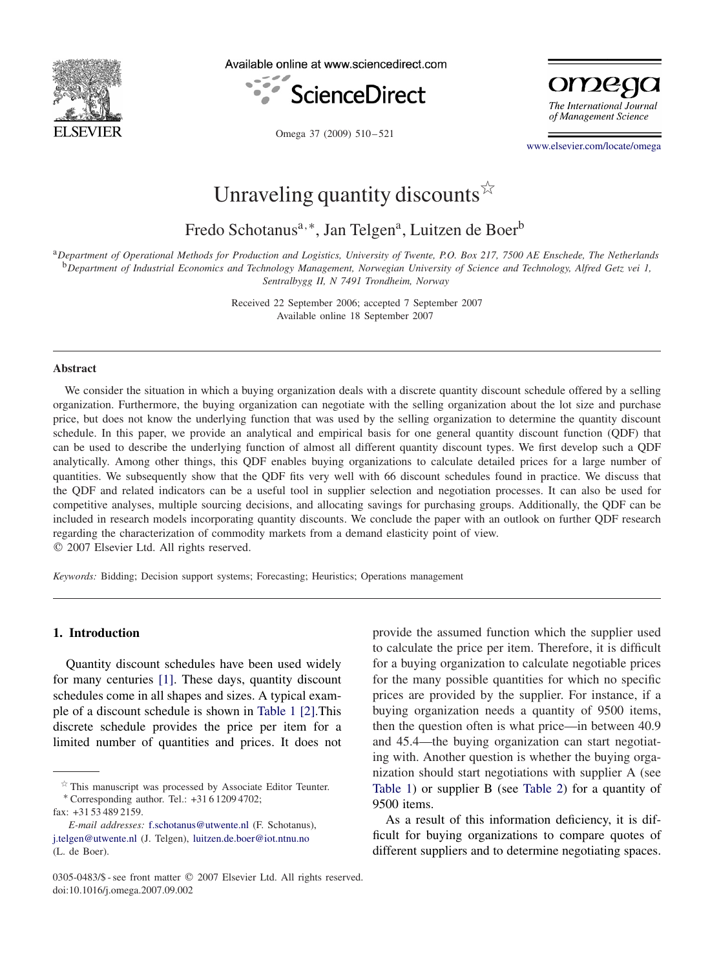

Available online at www.sciencedirect.com





Omega 37 (2009) 510-521

[www.elsevier.com/locate/omega](http://www.elsevier.com/locate/omega)

# Unraveling quantity discounts  $\overleftrightarrow{x}$

Fredo Schotanus<sup>a,∗</sup>, Jan Telgen<sup>a</sup>, Luitzen de Boer<sup>b</sup>

<sup>a</sup>*Department of Operational Methods for Production and Logistics, University of Twente, P.O. Box 217, 7500 AE Enschede, The Netherlands* <sup>b</sup>*Department of Industrial Economics and Technology Management, Norwegian University of Science and Technology, Alfred Getz vei 1, Sentralbygg II, N 7491 Trondheim, Norway*

> Received 22 September 2006; accepted 7 September 2007 Available online 18 September 2007

#### **Abstract**

We consider the situation in which a buying organization deals with a discrete quantity discount schedule offered by a selling organization. Furthermore, the buying organization can negotiate with the selling organization about the lot size and purchase price, but does not know the underlying function that was used by the selling organization to determine the quantity discount schedule. In this paper, we provide an analytical and empirical basis for one general quantity discount function (QDF) that can be used to describe the underlying function of almost all different quantity discount types. We first develop such a QDF analytically. Among other things, this QDF enables buying organizations to calculate detailed prices for a large number of quantities. We subsequently show that the QDF fits very well with 66 discount schedules found in practice. We discuss that the QDF and related indicators can be a useful tool in supplier selection and negotiation processes. It can also be used for competitive analyses, multiple sourcing decisions, and allocating savings for purchasing groups. Additionally, the QDF can be included in research models incorporating quantity discounts. We conclude the paper with an outlook on further QDF research regarding the characterization of commodity markets from a demand elasticity point of view. 2007 Elsevier Ltd. All rights reserved.

*Keywords:* Bidding; Decision support systems; Forecasting; Heuristics; Operations management

## **1. Introduction**

Quantity discount schedules have been used widely for many centuries [\[1\].](#page--1-0) These days, quantity discount schedules come in all shapes and sizes. A typical example of a discount schedule is shown in [Table 1](#page-1-0) [\[2\].](#page--1-0)This discrete schedule provides the price per item for a limited number of quantities and prices. It does not

∗ Corresponding author. Tel.: +31 6 1209 4702; fax: +31 53 489 2159.

provide the assumed function which the supplier used to calculate the price per item. Therefore, it is difficult for a buying organization to calculate negotiable prices for the many possible quantities for which no specific prices are provided by the supplier. For instance, if a buying organization needs a quantity of 9500 items, then the question often is what price—in between 40.9 and 45.4—the buying organization can start negotiating with. Another question is whether the buying organization should start negotiations with supplier A (see [Table 1\)](#page-1-0) or supplier B (see [Table 2\)](#page-1-0) for a quantity of 9500 items.

As a result of this information deficiency, it is difficult for buying organizations to compare quotes of different suppliers and to determine negotiating spaces.

 $*$  This manuscript was processed by Associate Editor Teunter.

*E-mail addresses:* [f.schotanus@utwente.nl](mailto:f.schotanus@utwente.nl) (F. Schotanus), [j.telgen@utwente.nl](mailto:j.telgen@utwente.nl) (J. Telgen), [luitzen.de.boer@iot.ntnu.no](mailto:luitzen.de.boer@iot.ntnu.no) (L. de Boer).

<sup>0305-0483/\$ -</sup> see front matter © 2007 Elsevier Ltd. All rights reserved. doi:10.1016/j.omega.2007.09.002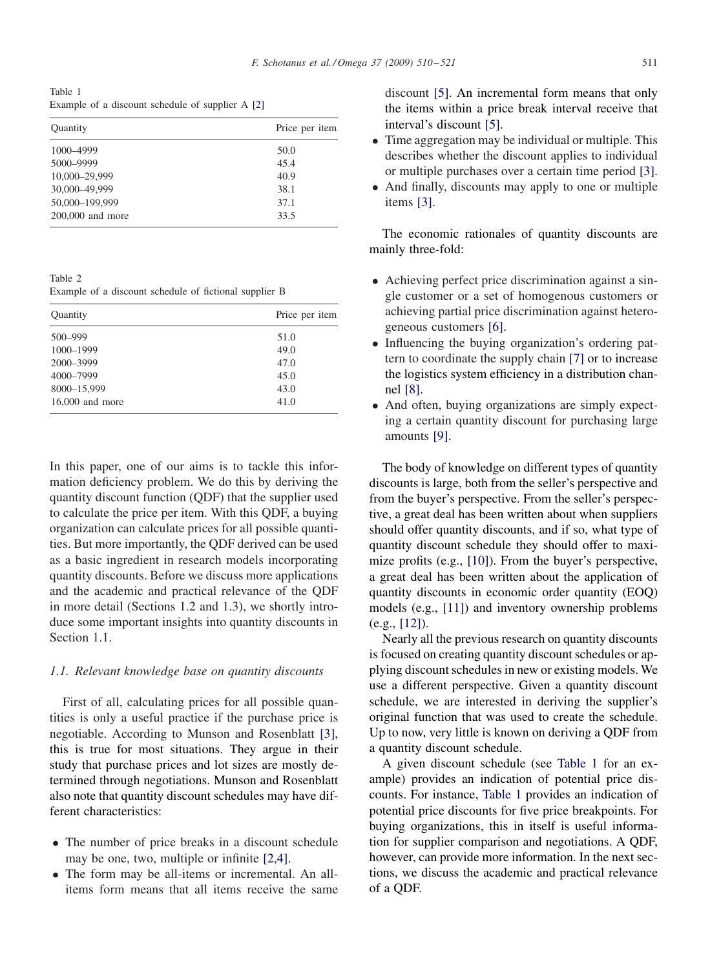<span id="page-1-0"></span>Table 1 Example of a discount schedule of supplier A [\[2\]](#page--1-0)

| Quantity         | Price per item |
|------------------|----------------|
| 1000-4999        | 50.0           |
| 5000-9999        | 45.4           |
| 10,000-29,999    | 40.9           |
| 30,000-49,999    | 38.1           |
| 50,000-199,999   | 37.1           |
| 200,000 and more | 33.5           |

Table 2

Example of a discount schedule of fictional supplier B

| Quantity          | Price per item |
|-------------------|----------------|
| 500-999           | 51.0           |
| 1000-1999         | 49.0           |
| 2000-3999         | 47.0           |
| 4000-7999         | 45.0           |
| 8000-15,999       | 43.0           |
| $16,000$ and more | 41.0           |

In this paper, one of our aims is to tackle this information deficiency problem. We do this by deriving the quantity discount function (QDF) that the supplier used to calculate the price per item. With this QDF, a buying organization can calculate prices for all possible quantities. But more importantly, the QDF derived can be used as a basic ingredient in research models incorporating quantity discounts. Before we discuss more applications and the academic and practical relevance of the QDF in more detail (Sections 1.2 and 1.3), we shortly introduce some important insights into quantity discounts in Section 1.1.

### *1.1. Relevant knowledge base on quantity discounts*

First of all, calculating prices for all possible quantities is only a useful practice if the purchase price is negotiable. According to Munson and Rosenblatt [\[3\],](#page--1-0) this is true for most situations. They argue in their study that purchase prices and lot sizes are mostly determined through negotiations. Munson and Rosenblatt also note that quantity discount schedules may have different characteristics:

- The number of price breaks in a discount schedule may be one, two, multiple or infinite [2,4].
- The form may be all-items or incremental. An allitems form means that all items receive the same
- Time aggregation may be individual or multiple. This describes whether the discount applies to individual or multiple purchases over a certain time period [\[3\].](#page--1-0)
- And finally, discounts may apply to one or multiple items [\[3\].](#page--1-0)

The economic rationales of quantity discounts are mainly three-fold:

- Achieving perfect price discrimination against a single customer or a set of homogenous customers or achieving partial price discrimination against heterogeneous customers [\[6\].](#page--1-0)
- Influencing the buying organization's ordering pattern to coordinate the supply chain [\[7\]](#page--1-0) or to increase the logistics system efficiency in a distribution channel [\[8\].](#page--1-0)
- And often, buying organizations are simply expecting a certain quantity discount for purchasing large amounts [\[9\].](#page--1-0)

The body of knowledge on different types of quantity discounts is large, both from the seller's perspective and from the buyer's perspective. From the seller's perspective, a great deal has been written about when suppliers should offer quantity discounts, and if so, what type of quantity discount schedule they should offer to maximize profits (e.g., [\[10\]\)](#page--1-0). From the buyer's perspective, a great deal has been written about the application of quantity discounts in economic order quantity (EOQ) models (e.g., [\[11\]\)](#page--1-0) and inventory ownership problems (e.g., [\[12\]\)](#page--1-0).

Nearly all the previous research on quantity discounts is focused on creating quantity discount schedules or applying discount schedules in new or existing models. We use a different perspective. Given a quantity discount schedule, we are interested in deriving the supplier's original function that was used to create the schedule. Up to now, very little is known on deriving a QDF from a quantity discount schedule.

A given discount schedule (see Table 1 for an example) provides an indication of potential price discounts. For instance, Table 1 provides an indication of potential price discounts for five price breakpoints. For buying organizations, this in itself is useful information for supplier comparison and negotiations. A QDF, however, can provide more information. In the next sections, we discuss the academic and practical relevance of a QDF.